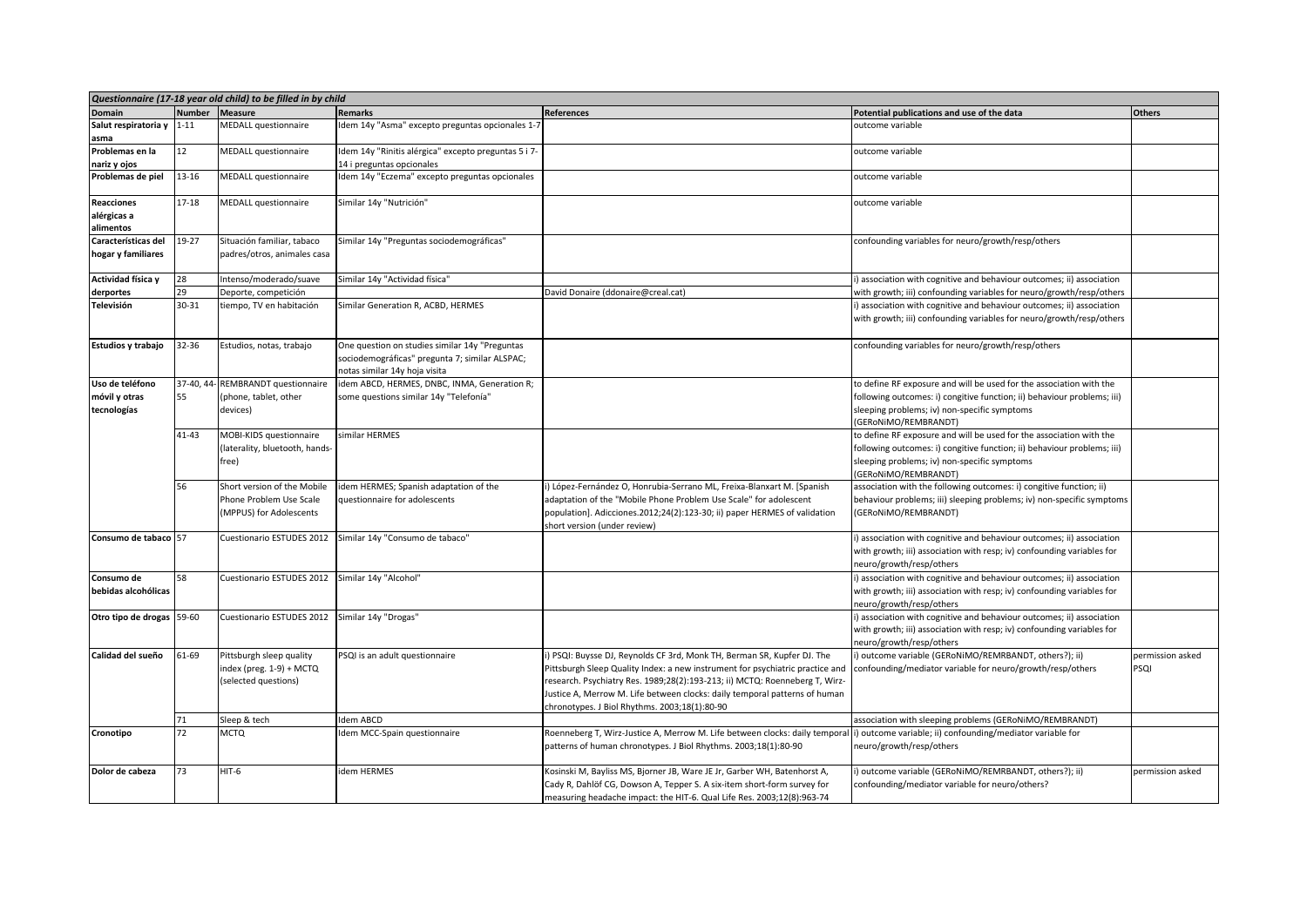|                                                 | Questionnaire (17-18 year old child) to be filled in by child |                                                                                   |                                                                                                                                   |                                                                                                                                                                                                                                                                                                                                                                      |                                                                                                                                                                                                                        |                          |  |  |
|-------------------------------------------------|---------------------------------------------------------------|-----------------------------------------------------------------------------------|-----------------------------------------------------------------------------------------------------------------------------------|----------------------------------------------------------------------------------------------------------------------------------------------------------------------------------------------------------------------------------------------------------------------------------------------------------------------------------------------------------------------|------------------------------------------------------------------------------------------------------------------------------------------------------------------------------------------------------------------------|--------------------------|--|--|
| <b>Domain</b>                                   | <b>Number</b>                                                 | <b>Measure</b>                                                                    | <b>Remarks</b>                                                                                                                    | <b>References</b>                                                                                                                                                                                                                                                                                                                                                    | Potential publications and use of the data                                                                                                                                                                             | <b>Others</b>            |  |  |
| Salut respiratoria y 1-11<br>asma               |                                                               | MEDALL questionnaire                                                              | Idem 14y "Asma" excepto preguntas opcionales 1-7                                                                                  |                                                                                                                                                                                                                                                                                                                                                                      | outcome variable                                                                                                                                                                                                       |                          |  |  |
| Problemas en la<br>nariz y ojos                 | 12                                                            | <b>MEDALL questionnaire</b>                                                       | Idem 14y "Rinitis alérgica" excepto preguntas 5 i 7-<br>14 i preguntas opcionales                                                 |                                                                                                                                                                                                                                                                                                                                                                      | outcome variable                                                                                                                                                                                                       |                          |  |  |
| Problemas de piel                               | 13-16                                                         | <b>MEDALL</b> questionnaire                                                       | Idem 14y "Eczema" excepto preguntas opcionales                                                                                    |                                                                                                                                                                                                                                                                                                                                                                      | outcome variable                                                                                                                                                                                                       |                          |  |  |
| <b>Reacciones</b><br>alérgicas a<br>alimentos   | $17 - 18$                                                     | <b>MEDALL</b> questionnaire                                                       | Similar 14y "Nutrición"                                                                                                           |                                                                                                                                                                                                                                                                                                                                                                      | outcome variable                                                                                                                                                                                                       |                          |  |  |
| Características del<br>hogar y familiares       | 19-27                                                         | Situación familiar, tabaco<br>padres/otros, animales casa                         | Similar 14y "Preguntas sociodemográficas"                                                                                         |                                                                                                                                                                                                                                                                                                                                                                      | confounding variables for neuro/growth/resp/others                                                                                                                                                                     |                          |  |  |
| Actividad física y                              | 28                                                            | Intenso/moderado/suave                                                            | Similar 14y "Actividad física"                                                                                                    |                                                                                                                                                                                                                                                                                                                                                                      | association with cognitive and behaviour outcomes; ii) association                                                                                                                                                     |                          |  |  |
| derportes                                       | 29                                                            | Deporte, competición                                                              |                                                                                                                                   | David Donaire (ddonaire@creal.cat)                                                                                                                                                                                                                                                                                                                                   | with growth; iii) confounding variables for neuro/growth/resp/others                                                                                                                                                   |                          |  |  |
| Televisión                                      | 30-31                                                         | tiempo, TV en habitación                                                          | Similar Generation R, ACBD, HERMES                                                                                                |                                                                                                                                                                                                                                                                                                                                                                      | ) association with cognitive and behaviour outcomes; ii) association<br>with growth; iii) confounding variables for neuro/growth/resp/others                                                                           |                          |  |  |
| Estudios y trabajo                              | 32-36                                                         | Estudios, notas, trabajo                                                          | One question on studies similar 14y "Preguntas<br>sociodemográficas" pregunta 7; similar ALSPAC;<br>notas similar 14y hoja visita |                                                                                                                                                                                                                                                                                                                                                                      | confounding variables for neuro/growth/resp/others                                                                                                                                                                     |                          |  |  |
| Uso de teléfono<br>móvil y otras<br>tecnologías | 37-40, 44<br>55                                               | REMBRANDT questionnaire<br>(phone, tablet, other<br>devices)                      | idem ABCD, HERMES, DNBC, INMA, Generation R;<br>some questions similar 14y "Telefonía"                                            |                                                                                                                                                                                                                                                                                                                                                                      | to define RF exposure and will be used for the association with the<br>following outcomes: i) congitive function; ii) behaviour problems; iii)<br>sleeping problems; iv) non-specific symptoms<br>(GERONIMO/REMBRANDT) |                          |  |  |
|                                                 | $41 - 43$                                                     | MOBI-KIDS questionnaire<br>(laterality, bluetooth, hands-<br>free)                | similar HERMES                                                                                                                    |                                                                                                                                                                                                                                                                                                                                                                      | to define RF exposure and will be used for the association with the<br>following outcomes: i) congitive function; ii) behaviour problems; iii)<br>sleeping problems; iv) non-specific symptoms<br>(GERONIMO/REMBRANDT) |                          |  |  |
|                                                 | 56                                                            | Short version of the Mobile<br>Phone Problem Use Scale<br>(MPPUS) for Adolescents | idem HERMES; Spanish adaptation of the<br>questionnaire for adolescents                                                           | i) López-Fernández O, Honrubia-Serrano ML, Freixa-Blanxart M. [Spanish<br>adaptation of the "Mobile Phone Problem Use Scale" for adolescent<br>population]. Adicciones.2012;24(2):123-30; ii) paper HERMES of validation<br>short version (under review)                                                                                                             | association with the following outcomes: i) congitive function; ii)<br>behaviour problems; iii) sleeping problems; iv) non-specific symptoms<br>(GERONIMO/REMBRANDT)                                                   |                          |  |  |
| Consumo de tabaco 57                            |                                                               | Cuestionario ESTUDES 2012                                                         | Similar 14y "Consumo de tabaco"                                                                                                   |                                                                                                                                                                                                                                                                                                                                                                      | ) association with cognitive and behaviour outcomes; ii) association<br>with growth; iii) association with resp; iv) confounding variables for<br>neuro/growth/resp/others                                             |                          |  |  |
| Consumo de<br>bebidas alcohólicas               | 58                                                            | Cuestionario ESTUDES 2012                                                         | Similar 14y "Alcohol"                                                                                                             |                                                                                                                                                                                                                                                                                                                                                                      | ) association with cognitive and behaviour outcomes; ii) association<br>with growth; iii) association with resp; iv) confounding variables for<br>neuro/growth/resp/others                                             |                          |  |  |
| Otro tipo de drogas 59-60                       |                                                               | Cuestionario ESTUDES 2012                                                         | Similar 14y "Drogas"                                                                                                              |                                                                                                                                                                                                                                                                                                                                                                      | i) association with cognitive and behaviour outcomes; ii) association<br>with growth; iii) association with resp; iv) confounding variables for<br>neuro/growth/resp/others                                            |                          |  |  |
| Calidad del sueño                               | 61-69                                                         | Pittsburgh sleep quality<br>index (preg. 1-9) + MCTQ<br>(selected questions)      | PSQI is an adult questionnaire                                                                                                    | ) PSQI: Buysse DJ, Reynolds CF 3rd, Monk TH, Berman SR, Kupfer DJ. The<br>Pittsburgh Sleep Quality Index: a new instrument for psychiatric practice and<br>esearch. Psychiatry Res. 1989;28(2):193-213; ii) MCTQ: Roenneberg T, Wirz-<br>Justice A, Merrow M. Life between clocks: daily temporal patterns of human<br>chronotypes. J Biol Rhythms. 2003;18(1):80-90 | i) outcome variable (GERoNiMO/REMRBANDT, others?); ii)<br>confounding/mediator variable for neuro/growth/resp/others                                                                                                   | permission asked<br>PSQI |  |  |
|                                                 | 71                                                            | Sleep & tech                                                                      | Idem ABCD                                                                                                                         |                                                                                                                                                                                                                                                                                                                                                                      | association with sleeping problems (GERoNiMO/REMBRANDT)                                                                                                                                                                |                          |  |  |
| Cronotipo                                       | 72                                                            | <b>MCTQ</b>                                                                       | Idem MCC-Spain questionnaire                                                                                                      | Roenneberg T, Wirz-Justice A, Merrow M. Life between clocks: daily tempora<br>patterns of human chronotypes. J Biol Rhythms. 2003;18(1):80-90                                                                                                                                                                                                                        | i) outcome variable; ii) confounding/mediator variable for<br>neuro/growth/resp/others                                                                                                                                 |                          |  |  |
| Dolor de cabeza                                 | 73                                                            | $HIT-6$                                                                           | idem HERMES                                                                                                                       | Kosinski M, Bayliss MS, Bjorner JB, Ware JE Jr, Garber WH, Batenhorst A,<br>Cady R, Dahlöf CG, Dowson A, Tepper S. A six-item short-form survey for<br>measuring headache impact: the HIT-6. Qual Life Res. 2003;12(8):963-74                                                                                                                                        | i) outcome variable (GERoNiMO/REMRBANDT, others?); ii)<br>confounding/mediator variable for neuro/others?                                                                                                              | permission asked         |  |  |